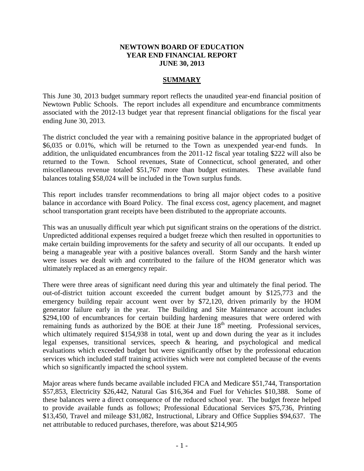## **NEWTOWN BOARD OF EDUCATION YEAR END FINANCIAL REPORT JUNE 30, 2013**

## **SUMMARY**

This June 30, 2013 budget summary report reflects the unaudited year-end financial position of Newtown Public Schools. The report includes all expenditure and encumbrance commitments associated with the 2012-13 budget year that represent financial obligations for the fiscal year ending June 30, 2013.

The district concluded the year with a remaining positive balance in the appropriated budget of \$6,035 or 0.01%, which will be returned to the Town as unexpended year-end funds. In addition, the unliquidated encumbrances from the 2011-12 fiscal year totaling \$222 will also be returned to the Town. School revenues, State of Connecticut, school generated, and other miscellaneous revenue totaled \$51,767 more than budget estimates. These available fund balances totaling \$58,024 will be included in the Town surplus funds.

This report includes transfer recommendations to bring all major object codes to a positive balance in accordance with Board Policy. The final excess cost, agency placement, and magnet school transportation grant receipts have been distributed to the appropriate accounts.

This was an unusually difficult year which put significant strains on the operations of the district. Unpredicted additional expenses required a budget freeze which then resulted in opportunities to make certain building improvements for the safety and security of all our occupants. It ended up being a manageable year with a positive balances overall. Storm Sandy and the harsh winter were issues we dealt with and contributed to the failure of the HOM generator which was ultimately replaced as an emergency repair.

There were three areas of significant need during this year and ultimately the final period. The out-of-district tuition account exceeded the current budget amount by \$125,773 and the emergency building repair account went over by \$72,120, driven primarily by the HOM generator failure early in the year. The Building and Site Maintenance account includes \$294,100 of encumbrances for certain building hardening measures that were ordered with remaining funds as authorized by the BOE at their June  $18<sup>th</sup>$  meeting. Professional services, which ultimately required \$154,938 in total, went up and down during the year as it includes legal expenses, transitional services, speech & hearing, and psychological and medical evaluations which exceeded budget but were significantly offset by the professional education services which included staff training activities which were not completed because of the events which so significantly impacted the school system.

Major areas where funds became available included FICA and Medicare \$51,744, Transportation \$57,853, Electricity \$26,442, Natural Gas \$16,364 and Fuel for Vehicles \$10,388. Some of these balances were a direct consequence of the reduced school year. The budget freeze helped to provide available funds as follows; Professional Educational Services \$75,736, Printing \$13,450, Travel and mileage \$31,082, Instructional, Library and Office Supplies \$94,637. The net attributable to reduced purchases, therefore, was about \$214,905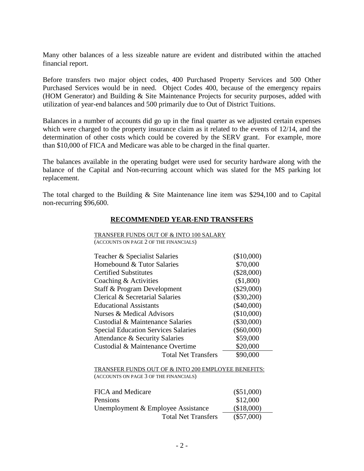Many other balances of a less sizeable nature are evident and distributed within the attached financial report.

Before transfers two major object codes, 400 Purchased Property Services and 500 Other Purchased Services would be in need. Object Codes 400, because of the emergency repairs (HOM Generator) and Building & Site Maintenance Projects for security purposes, added with utilization of year-end balances and 500 primarily due to Out of District Tuitions.

Balances in a number of accounts did go up in the final quarter as we adjusted certain expenses which were charged to the property insurance claim as it related to the events of 12/14, and the determination of other costs which could be covered by the SERV grant. For example, more than \$10,000 of FICA and Medicare was able to be charged in the final quarter.

The balances available in the operating budget were used for security hardware along with the balance of the Capital and Non-recurring account which was slated for the MS parking lot replacement.

The total charged to the Building & Site Maintenance line item was \$294,100 and to Capital non-recurring \$96,600.

#### **RECOMMENDED YEAR-END TRANSFERS**

| TRANSFER FUNDS OUT OF & INTO 100 SALARY    |              |
|--------------------------------------------|--------------|
| (ACCOUNTS ON PAGE 2 OF THE FINANCIALS)     |              |
|                                            |              |
| Teacher & Specialist Salaries              | (\$10,000)   |
| Homebound & Tutor Salaries                 | \$70,000     |
| <b>Certified Substitutes</b>               | $(\$28,000)$ |
| Coaching & Activities                      | (\$1,800)    |
| Staff & Program Development                | $(\$29,000)$ |
| Clerical & Secretarial Salaries            | $(\$30,200)$ |
| <b>Educational Assistants</b>              | $(\$40,000)$ |
| Nurses & Medical Advisors                  | (\$10,000)   |
| Custodial & Maintenance Salaries           | $(\$30,000)$ |
| <b>Special Education Services Salaries</b> | $(\$60,000)$ |
| Attendance & Security Salaries             | \$59,000     |
| Custodial & Maintenance Overtime           | \$20,000     |
| <b>Total Net Transfers</b>                 | \$90,000     |
|                                            |              |

TRANSFER FUNDS OUT OF & INTO 200 EMPLOYEE BENEFITS: (ACCOUNTS ON PAGE 3 OF THE FINANCIALS)

| FICA and Medicare                  | $(\$51,000)$ |
|------------------------------------|--------------|
| Pensions                           | \$12,000     |
| Unemployment & Employee Assistance | (\$18,000)   |
| <b>Total Net Transfers</b>         | $(\$57,000)$ |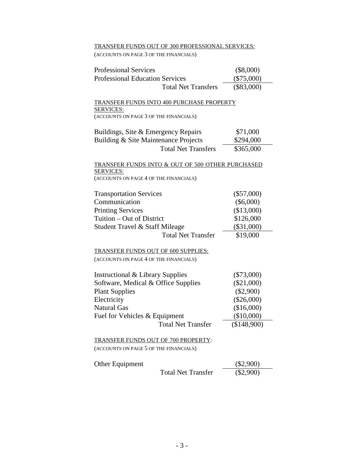## TRANSFER FUNDS OUT OF 300 PROFESSIONAL SERVICES:

(ACCOUNTS ON PAGE 3 OF THE FINANCIALS)

| <b>Professional Services</b>                                                       | $(\$8,000)$                  |
|------------------------------------------------------------------------------------|------------------------------|
| <b>Professional Education Services</b>                                             | $(\$75,000)$                 |
| <b>Total Net Transfers</b>                                                         | $(\$83,000)$                 |
|                                                                                    |                              |
| TRANSFER FUNDS INTO 400 PURCHASE PROPERTY                                          |                              |
| <b>SERVICES:</b><br>(ACCOUNTS ON PAGE 3 OF THE FINANCIALS)                         |                              |
|                                                                                    |                              |
| Buildings, Site & Emergency Repairs                                                | \$71,000                     |
| Building & Site Maintenance Projects                                               | \$294,000                    |
| <b>Total Net Transfers</b>                                                         | \$365,000                    |
|                                                                                    |                              |
| TRANSFER FUNDS INTO & OUT OF 500 OTHER PURCHASED                                   |                              |
| <b>SERVICES:</b><br>(ACCOUNTS ON PAGE 4 OF THE FINANCIALS)                         |                              |
|                                                                                    |                              |
| <b>Transportation Services</b>                                                     | $(\$57,000)$                 |
| Communication                                                                      | $(\$6,000)$                  |
| <b>Printing Services</b>                                                           | (\$13,000)                   |
| Tuition – Out of District                                                          | \$126,000                    |
| Student Travel & Staff Mileage                                                     | $(\$31,000)$                 |
| <b>Total Net Transfer</b>                                                          | \$19,000                     |
|                                                                                    |                              |
| <b>TRANSFER FUNDS OUT OF 600 SUPPLIES:</b>                                         |                              |
| (ACCOUNTS ON PAGE 4 OF THE FINANCIALS)                                             |                              |
|                                                                                    |                              |
| <b>Instructional &amp; Library Supplies</b><br>Software, Medical & Office Supplies | $(\$73,000)$<br>$(\$21,000)$ |
| <b>Plant Supplies</b>                                                              | $(\$2,900)$                  |
| Electricity                                                                        | $(\$26,000)$                 |
| <b>Natural Gas</b>                                                                 | (\$16,000)                   |
| Fuel for Vehicles & Equipment                                                      | $(\$10,000)$                 |
| <b>Total Net Transfer</b>                                                          | (\$148,900)                  |
|                                                                                    |                              |
| <b>TRANSFER FUNDS OUT OF 700 PROPERTY:</b>                                         |                              |
| (ACCOUNTS ON PAGE 5 OF THE FINANCIALS)                                             |                              |
|                                                                                    |                              |
| Other Equipment<br><b>Total Net Transfer</b>                                       | $(\$2,900)$<br>$(\$2,900)$   |
|                                                                                    |                              |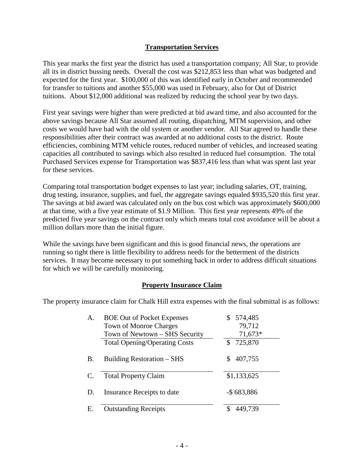## **Transportation Services**

This year marks the first year the district has used a transportation company; All Star, to provide all its in district bussing needs. Overall the cost was \$212,853 less than what was budgeted and expected for the first year. \$100,000 of this was identified early in October and recommended for transfer to tuitions and another \$55,000 was used in February, also for Out of District tuitions. About \$12,000 additional was realized by reducing the school year by two days.

First year savings were higher than were predicted at bid award time, and also accounted for the above savings because All Star assumed all routing, dispatching, MTM supervision, and other costs we would have had with the old system or another vendor. All Star agreed to handle these responsibilities after their contract was awarded at no additional costs to the district. Route efficiencies, combining MTM vehicle routes, reduced number of vehicles, and increased seating capacities all contributed to savings which also resulted in reduced fuel consumption. The total Purchased Services expense for Transportation was \$837,416 less than what was spent last year for these services.

Comparing total transportation budget expenses to last year; including salaries, OT, training, drug testing, insurance, supplies, and fuel, the aggregate savings equaled \$935,520 this first year. The savings at bid award was calculated only on the bus cost which was approximately \$600,000 at that time, with a five year estimate of \$1.9 Million. This first year represents 49% of the predicted five year savings on the contract only which means total cost avoidance will be about a million dollars more than the initial figure.

While the savings have been significant and this is good financial news, the operations are running so tight there is little flexibility to address needs for the betterment of the districts services. It may become necessary to put something back in order to address difficult situations for which we will be carefully monitoring.

## **Property Insurance Claim**

The property insurance claim for Chalk Hill extra expenses with the final submittal is as follows:

| А.        | <b>BOE Out of Pocket Expenses</b>    | 574,485        |
|-----------|--------------------------------------|----------------|
|           | <b>Town of Monroe Charges</b>        | 79,712         |
|           | Town of Newtown – SHS Security       | 71,673*        |
|           | <b>Total Opening/Operating Costs</b> | 725,870<br>\$. |
| <b>B.</b> | Building Restoration – SHS           | 407,755<br>S.  |
| C.        | <b>Total Property Claim</b>          | \$1,133,625    |
| D.        | Insurance Receipts to date           | $-$ \$683,886  |
| Е.        | <b>Outstanding Receipts</b>          | 449.739        |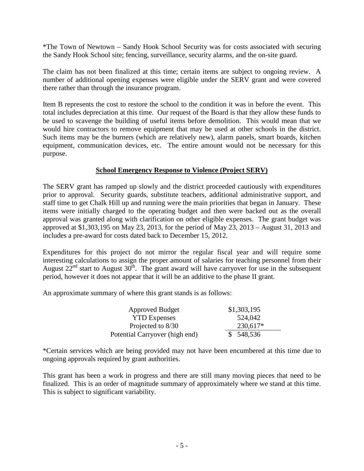\*The Town of Newtown – Sandy Hook School Security was for costs associated with securing the Sandy Hook School site; fencing, surveillance, security alarms, and the on-site guard.

The claim has not been finalized at this time; certain items are subject to ongoing review. A number of additional opening expenses were eligible under the SERV grant and were covered there rather than through the insurance program.

Item B represents the cost to restore the school to the condition it was in before the event. This total includes depreciation at this time. Our request of the Board is that they allow these funds to be used to scavenge the building of useful items before demolition. This would mean that we would hire contractors to remove equipment that may be used at other schools in the district. Such items may be the burners (which are relatively new), alarm panels, smart boards, kitchen equipment, communication devices, etc. The entire amount would not be necessary for this purpose.

## **School Emergency Response to Violence (Project SERV)**

The SERV grant has ramped up slowly and the district proceeded cautiously with expenditures prior to approval. Security guards, substitute teachers, additional administrative support, and staff time to get Chalk Hill up and running were the main priorities that began in January. These items were initially charged to the operating budget and then were backed out as the overall approval was granted along with clarification on other eligible expenses. The grant budget was approved at \$1,303,195 on May 23, 2013, for the period of May 23, 2013 – August 31, 2013 and includes a pre-award for costs dated back to December 15, 2012.

Expenditures for this project do not mirror the regular fiscal year and will require some interesting calculations to assign the proper amount of salaries for teaching personnel from their August  $22^{nd}$  start to August  $30^{th}$ . The grant award will have carryover for use in the subsequent period, however it does not appear that it will be an additive to the phase II grant.

An approximate summary of where this grant stands is as follows:

| <b>Approved Budget</b>         | \$1,303,195 |
|--------------------------------|-------------|
| <b>YTD</b> Expenses            | 524,042     |
| Projected to 8/30              | 230,617*    |
| Potential Carryover (high end) | \$548,536   |

\*Certain services which are being provided may not have been encumbered at this time due to ongoing approvals required by grant authorities.

This grant has been a work in progress and there are still many moving pieces that need to be finalized. This is an order of magnitude summary of approximately where we stand at this time. This is subject to significant variability.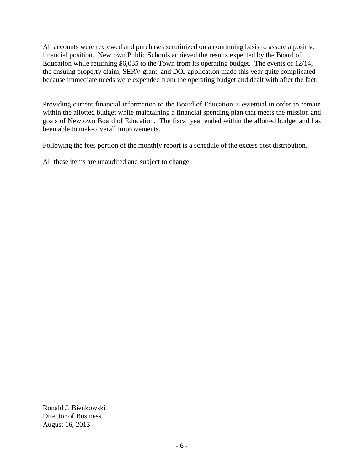All accounts were reviewed and purchases scrutinized on a continuing basis to assure a positive financial position. Newtown Public Schools achieved the results expected by the Board of Education while returning \$6,035 to the Town from its operating budget. The events of 12/14, the ensuing property claim, SERV grant, and DOJ application made this year quite complicated because immediate needs were expended from the operating budget and dealt with after the fact.

Following the fees portion of the monthly report is a schedule of the excess cost distribution.

All these items are unaudited and subject to change.

Ronald J. Bienkowski Director of Business August 16, 2013

Providing current financial information to the Board of Education is essential in order to remain within the allotted budget while maintaining a financial spending plan that meets the mission and goals of Newtown Board of Education. The fiscal year ended within the allotted budget and has been able to make overall improvements.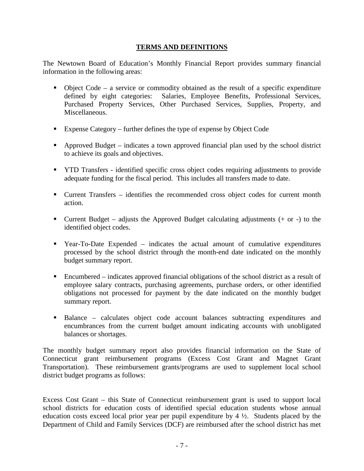## **TERMS AND DEFINITIONS**

The Newtown Board of Education's Monthly Financial Report provides summary financial information in the following areas:

- $\bullet$  Object Code a service or commodity obtained as the result of a specific expenditure defined by eight categories: Salaries, Employee Benefits, Professional Services, Purchased Property Services, Other Purchased Services, Supplies, Property, and Miscellaneous.
- Expense Category further defines the type of expense by Object Code
- Approved Budget indicates a town approved financial plan used by the school district to achieve its goals and objectives.
- **THE TRANSFER** identified specific cross object codes requiring adjustments to provide adequate funding for the fiscal period. This includes all transfers made to date.
- Current Transfers identifies the recommended cross object codes for current month action.
- **Current Budget** adjusts the Approved Budget calculating adjustments  $(+)$  or  $-)$  to the identified object codes.
- Year-To-Date Expended indicates the actual amount of cumulative expenditures processed by the school district through the month-end date indicated on the monthly budget summary report.
- Encumbered indicates approved financial obligations of the school district as a result of employee salary contracts, purchasing agreements, purchase orders, or other identified obligations not processed for payment by the date indicated on the monthly budget summary report.
- Balance calculates object code account balances subtracting expenditures and encumbrances from the current budget amount indicating accounts with unobligated balances or shortages.

The monthly budget summary report also provides financial information on the State of Connecticut grant reimbursement programs (Excess Cost Grant and Magnet Grant Transportation). These reimbursement grants/programs are used to supplement local school district budget programs as follows:

Excess Cost Grant – this State of Connecticut reimbursement grant is used to support local school districts for education costs of identified special education students whose annual education costs exceed local prior year per pupil expenditure by 4 ½. Students placed by the Department of Child and Family Services (DCF) are reimbursed after the school district has met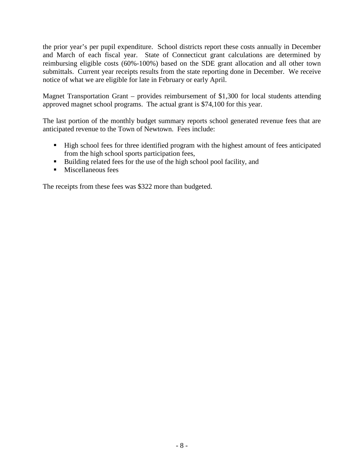the prior year's per pupil expenditure. School districts report these costs annually in December and March of each fiscal year. State of Connecticut grant calculations are determined by reimbursing eligible costs (60%-100%) based on the SDE grant allocation and all other town submittals. Current year receipts results from the state reporting done in December. We receive notice of what we are eligible for late in February or early April.

Magnet Transportation Grant – provides reimbursement of \$1,300 for local students attending approved magnet school programs. The actual grant is \$74,100 for this year.

The last portion of the monthly budget summary reports school generated revenue fees that are anticipated revenue to the Town of Newtown. Fees include:

- High school fees for three identified program with the highest amount of fees anticipated from the high school sports participation fees,
- Building related fees for the use of the high school pool facility, and
- $\blacksquare$  Miscellaneous fees

The receipts from these fees was \$322 more than budgeted.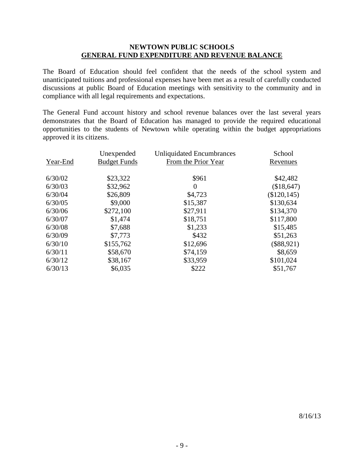## **NEWTOWN PUBLIC SCHOOLS GENERAL FUND EXPENDITURE AND REVENUE BALANCE**

The Board of Education should feel confident that the needs of the school system and unanticipated tuitions and professional expenses have been met as a result of carefully conducted discussions at public Board of Education meetings with sensitivity to the community and in compliance with all legal requirements and expectations.

The General Fund account history and school revenue balances over the last several years demonstrates that the Board of Education has managed to provide the required educational opportunities to the students of Newtown while operating within the budget appropriations approved it its citizens.

|          | Unexpended          | <b>Unliquidated Encumbrances</b> | School       |
|----------|---------------------|----------------------------------|--------------|
| Year-End | <b>Budget Funds</b> | From the Prior Year              | Revenues     |
|          |                     |                                  |              |
| 6/30/02  | \$23,322            | \$961                            | \$42,482     |
| 6/30/03  | \$32,962            | $\Omega$                         | (\$18,647)   |
| 6/30/04  | \$26,809            | \$4,723                          | (\$120, 145) |
| 6/30/05  | \$9,000             | \$15,387                         | \$130,634    |
| 6/30/06  | \$272,100           | \$27,911                         | \$134,370    |
| 6/30/07  | \$1,474             | \$18,751                         | \$117,800    |
| 6/30/08  | \$7,688             | \$1,233                          | \$15,485     |
| 6/30/09  | \$7,773             | \$432                            | \$51,263     |
| 6/30/10  | \$155,762           | \$12,696                         | (\$88,921)   |
| 6/30/11  | \$58,670            | \$74,159                         | \$8,659      |
| 6/30/12  | \$38,167            | \$33,959                         | \$101,024    |
| 6/30/13  | \$6,035             | \$222                            | \$51,767     |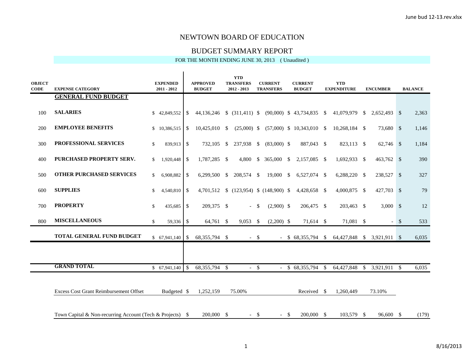#### BUDGET SUMMARY REPORT

| <b>OBJECT</b><br><b>CODE</b> | <b>EXPENSE CATEGORY</b>                                   | <b>EXPENDED</b><br>$2011 - 2012$ |               | <b>APPROVED</b><br><b>BUDGET</b> | <b>YTD</b><br><b>TRANSFERS</b><br>$2012 - 2013$ |        | <b>CURRENT</b><br><b>TRANSFERS</b> |        | <b>CURRENT</b><br><b>BUDGET</b> |                    | <b>YTD</b><br><b>EXPENDITURE</b> |               | <b>ENCUMBER</b> |        | <b>BALANCE</b> |
|------------------------------|-----------------------------------------------------------|----------------------------------|---------------|----------------------------------|-------------------------------------------------|--------|------------------------------------|--------|---------------------------------|--------------------|----------------------------------|---------------|-----------------|--------|----------------|
|                              | <b>GENERAL FUND BUDGET</b>                                |                                  |               |                                  |                                                 |        |                                    |        |                                 |                    |                                  |               |                 |        |                |
| 100                          | <b>SALARIES</b>                                           | \$42,849,552                     | <sup>\$</sup> | 44,136,246 \$ (311,411) \$       |                                                 |        |                                    |        | $(90,000)$ \$ 43,734,835 \$     |                    | 41,079,979                       | <sup>S</sup>  | 2,652,493 \$    |        | 2,363          |
| 200                          | <b>EMPLOYEE BENEFITS</b>                                  | \$10,386,515                     | \$            | 10,425,010 \$                    | $(25,000)$ \$                                   |        |                                    |        | $(57,000)$ \$ 10,343,010 \$     |                    | 10,268,184 \$                    |               | 73,680 \$       |        | 1,146          |
| 300                          | PROFESSIONAL SERVICES                                     | 839,913<br>\$                    | \$            | 732,105 \$                       | 237,938 \$                                      |        | $(83,000)$ \$                      |        | 887,043 \$                      |                    | 823,113 \$                       |               | 62,746 \$       |        | 1,184          |
| 400                          | <b>PURCHASED PROPERTY SERV.</b>                           | 1,920,448<br>$\mathbb{S}$        | \$            | 1,787,285 \$                     |                                                 |        | 4,800 \$ 365,000 \$                |        | 2,157,085 \$                    |                    | 1,692,933 \$                     |               | $463,762$ \$    |        | 390            |
| 500                          | <b>OTHER PURCHASED SERVICES</b>                           | 6,908,882<br>$\mathbb{S}^-$      | -S            | $6,299,500$ \$                   | 208,574 \$                                      |        | $19,000 \quad$ \$                  |        | 6,527,074 \$                    |                    | $6,288,220$ \$                   |               | 238,527 \$      |        | 327            |
| 600                          | <b>SUPPLIES</b>                                           | 4,540,810<br>$\mathbb{S}$        | -\$           | 4,701,512                        | \$(123,954) \$(148,900) \$                      |        |                                    |        | 4,428,658 \$                    |                    | 4,000,875 \$                     |               | 427,703 \$      |        | 79             |
| 700                          | <b>PROPERTY</b>                                           | \$<br>435,685                    | \$            | 209,375 \$                       |                                                 | $- S$  | $(2,900)$ \$                       |        | 206,475 \$                      |                    | 203,463 \$                       |               | $3,000$ \$      |        | 12             |
| 800                          | <b>MISCELLANEOUS</b>                                      | \$<br>59,336                     | - \$          | 64,761 \$                        | $9,053$ \$                                      |        | $(2,200)$ \$                       |        | 71,614 \$                       |                    | 71,081 \$                        |               |                 | $-$ \$ | 533            |
|                              | <b>TOTAL GENERAL FUND BUDGET</b>                          |                                  |               | 68, 355, 794 \$                  |                                                 | $-$ \$ |                                    |        | $-$ \$ 68,355,794 \$            |                    | 64,427,848 \$ 3,921,911 \$       |               |                 |        | 6,035          |
|                              |                                                           |                                  |               |                                  |                                                 |        |                                    |        |                                 |                    |                                  |               |                 |        |                |
|                              | <b>GRAND TOTAL</b>                                        | \$67,941,140                     | $\mathcal{S}$ | 68, 355, 794 \$                  | $-$ \$                                          |        |                                    |        | \$68,355,794                    | $\mathbf{\hat{S}}$ | 64,427,848                       | <sup>\$</sup> | 3,921,911 \$    |        | 6,035          |
|                              |                                                           |                                  |               |                                  |                                                 |        |                                    |        |                                 |                    |                                  |               |                 |        |                |
|                              | <b>Excess Cost Grant Reimbursement Offset</b>             | Budgeted \$                      |               | 1,252,159                        | 75.00%                                          |        |                                    |        | Received \$                     |                    | 1,260,449                        |               | 73.10%          |        |                |
|                              | Town Capital & Non-recurring Account (Tech & Projects) \$ |                                  |               | 200,000 \$                       | $-5$                                            |        |                                    | $-$ \$ | 200,000 \$                      |                    | 103,579 \$                       |               | 96,600 \$       |        | (179)          |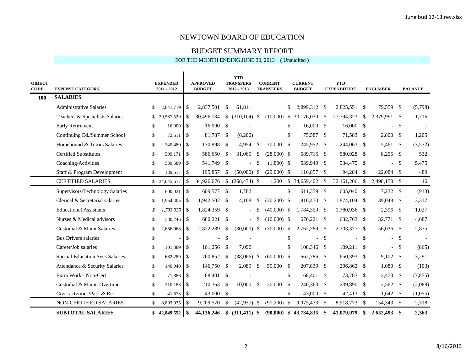#### BUDGET SUMMARY REPORT

| <b>OBJECT</b><br><b>CODE</b> | <b>EXPENSE CATEGORY</b>                |               | <b>EXPENDED</b><br>$2011 - 2012$ |               | <b>APPROVED</b><br><b>BUDGET</b> |     | <b>YTD</b><br><b>TRANSFERS</b><br>$2012 - 2013$ |                    | <b>CURRENT</b><br><b>TRANSFERS</b> |               | <b>CURRENT</b><br><b>BUDGET</b> |               | <b>YTD</b><br><b>EXPENDITURE</b> |               | <b>ENCUMBER</b> |               | <b>BALANCE</b> |
|------------------------------|----------------------------------------|---------------|----------------------------------|---------------|----------------------------------|-----|-------------------------------------------------|--------------------|------------------------------------|---------------|---------------------------------|---------------|----------------------------------|---------------|-----------------|---------------|----------------|
| 100                          | <b>SALARIES</b>                        |               |                                  |               |                                  |     |                                                 |                    |                                    |               |                                 |               |                                  |               |                 |               |                |
|                              | <b>Administrative Salaries</b>         | \$            | 2,841,719                        | \$            | 2,837,501                        | -\$ | 61,811                                          |                    |                                    | \$            | 2,899,312                       | \$            | 2,825,551                        | \$            | 79,559 \$       |               | (5,798)        |
|                              | Teachers & Specialists Salaries        | \$            | 29,587,529                       | \$            | 30,496,134                       | \$  | $(310, 104)$ \$                                 |                    |                                    |               | $(10,000)$ \$ 30,176,030        | <sup>\$</sup> | 27,794,323                       | <sup>\$</sup> | 2,379,991 \$    |               | 1,716          |
|                              | <b>Early Retirement</b>                | \$            | 16,000                           | l \$          | $16,000$ \$                      |     |                                                 |                    |                                    | \$            | 16,000                          | <sup>\$</sup> | $16,000$ \$                      |               |                 | \$            |                |
|                              | Continuing Ed./Summer School           | $\mathbb{S}$  | 72,611                           | l \$          | 81,787 \$                        |     | (6,200)                                         |                    |                                    | \$            | 75,587                          | <sup>\$</sup> | 71,583 \$                        |               | 2,800           | <sup>\$</sup> | 1.205          |
|                              | Homebound & Tutors Salaries            | \$            | 249.480                          | l \$          | 170,998 \$                       |     | 4.954                                           | -S                 | 70,000                             | <sup>\$</sup> | 245,952                         | <sup>\$</sup> | 244,063                          | - \$          | 5,461           | - \$          | (3,572)        |
|                              | <b>Certified Substitutes</b>           | $\mathbb{S}$  | 599.171                          | -S            | 586,650 \$                       |     | 31,065                                          | -\$                | $(28,000)$ \$                      |               | 589,715                         | -S            | 580.928 \$                       |               | $8,255$ \$      |               | 532            |
|                              | Coaching/Activities                    | $\mathbb{S}$  | 539,589                          | - \$          | 541,749 \$                       |     | $\overline{\phantom{a}}$                        | -\$                | $(1,800)$ \$                       |               | 539,949                         | <sup>\$</sup> | 534,475 \$                       |               | $\overline{a}$  | \$            | 5,475          |
|                              | Staff & Program Development            | $\mathbb{S}$  | 139,517                          | l \$          | 195,857                          | -\$ | $(50,000)$ \$                                   |                    | $(29,000)$ \$                      |               | 116,857                         | \$            | 94,284 \$                        |               | 22,084 \$       |               | 489            |
|                              | <b>CERTIFIED SALARIES</b>              |               | \$ 34,045,617                    | -\$           | 34,926,676                       |     | $$ (268,474)$ \\$                               |                    | 1,200                              |               | \$ 34,659,402                   | \$            | 32,161,206 \$                    |               | 2,498,150       | $\mathbb{S}$  | 46             |
|                              | Supervisors/Technology Salaries        | $\mathbb{S}$  | 600,021                          | $\mathcal{S}$ | 609,577 \$                       |     | 1,782                                           |                    |                                    | \$            | 611,359 \$                      |               | 605,040 \$                       |               | 7,232           | $\mathcal{S}$ | (913)          |
|                              | Clerical & Secretarial salaries        | \$            | 1.954.405                        | -S            | 1.942.502 \$                     |     | 4,168                                           | $\mathcal{S}$      | $(30,200)$ \$                      |               | 1,916,470                       | <sup>\$</sup> | 1.874.104                        | - \$          | 39,048          | <sup>\$</sup> | 3,317          |
|                              | <b>Educational Assistants</b>          | \$            | 1,733,935                        | - \$          | 1,824,359 \$                     |     | $\overline{\phantom{a}}$                        | <sup>\$</sup>      | $(40,000)$ \$                      |               | 1,784,359                       | -S            | 1,780,936 \$                     |               | 2,396           | - \$          | 1,027          |
|                              | Nurses & Medical advisors              | $\mathcal{S}$ | 580,246                          | l \$          | 680,221 \$                       |     | $\overline{\phantom{a}}$                        | -\$                | $(10,000)$ \$                      |               | 670,221                         | $\mathcal{S}$ | 632,763 \$                       |               | 32,771 \$       |               | 4,687          |
|                              | Custodial & Maint Salaries             | \$            | 2,686,968                        | - \$          | 2,822,289                        | -\$ | $(30,000)$ \$                                   |                    | $(30,000)$ \$                      |               | 2,762,289                       | \$            | 2,703,377 \$                     |               | 56,036 \$       |               | 2,875          |
|                              | <b>Bus Drivers salaries</b>            | $\$$          |                                  | $\mathcal{S}$ | $\overline{\phantom{a}}$         | -\$ |                                                 |                    |                                    | \$            | $\overline{a}$                  | \$            | $\overline{a}$                   | <sup>\$</sup> |                 | \$            |                |
|                              | Career/Job salaries                    | \$            | 101,389                          | \$            | 101,256 \$                       |     | 7,090                                           |                    |                                    | \$            | 108,346                         | - \$          | 109,211                          | -S            | $\overline{a}$  | \$            | (865)          |
|                              | <b>Special Education Svcs Salaries</b> | \$            | 682.289                          | -S            | 760.852 \$                       |     | $(38.066)$ \$                                   |                    | $(60,000)$ \$                      |               | 662,786                         | - \$          | 650.393 \$                       |               | $9,102$ \$      |               | 3,291          |
|                              | Attendance & Security Salaries         | \$            | 140,940                          | - \$          | 146,750 \$                       |     | 2,089                                           | $\mathbf{\hat{S}}$ | 59,000 \$                          |               | 207,839                         | <sup>\$</sup> | 206,862 \$                       |               | $1,080$ \$      |               | (103)          |
|                              | Extra Work - Non-Cert                  | $\mathbb{S}$  | 71,886                           | l \$          | 68,401 \$                        |     |                                                 |                    |                                    | \$            | 68,401                          | - \$          | 73,783 \$                        |               | 2,473           | -S            | (7, 855)       |
|                              | Custodial & Maint. Overtime            | $\mathbb{S}$  | 210,183                          | l \$          | 210,363 \$                       |     | 10,000                                          | -S                 | 20,000                             | $\mathcal{S}$ | 240,363                         | <sup>\$</sup> | 239,890 \$                       |               | 2,562           | - \$          | (2,089)        |
|                              | Civic activities/Park & Rec            | \$            | 41,673                           | l \$          | 43,000 \$                        |     |                                                 |                    |                                    | \$            | 43,000                          | <sup>\$</sup> | 42,413 \$                        |               | $1,642$ \$      |               | (1,055)        |
|                              | NON-CERTIFIED SALARIES                 | \$            | 8,803,935                        | -\$           | 9,209,570                        | \$  | (42, 937)                                       | -\$                | (91,200)                           | \$            | 9,075,433                       | \$            | 8,918,773                        | -\$           | 154,343         | - \$          | 2,318          |
|                              | <b>SUBTOTAL SALARIES</b>               |               |                                  |               | 44,136,246                       | \$  | $(311, 411)$ \$                                 |                    |                                    |               | $(90,000)$ \$ 43,734,835        | \$            | 41,079,979                       | \$            | 2,652,493       | \$            | 2,363          |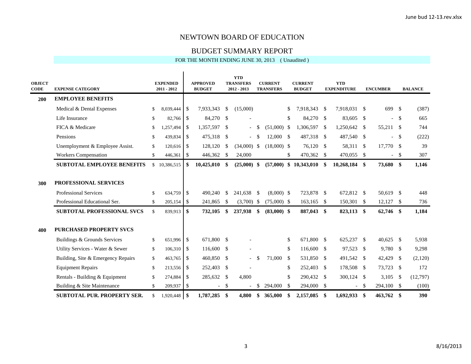#### BUDGET SUMMARY REPORT

| <b>OBJECT</b><br><b>CODE</b> | <b>EXPENSE CATEGORY</b>                                                                |          | <b>EXPENDED</b><br>$2011 - 2012$ |                           | <b>APPROVED</b><br><b>BUDGET</b> |                     | <b>YTD</b><br><b>TRANSFERS</b><br>$2012 - 2013$ |               | <b>CURRENT</b><br><b>TRANSFERS</b> |      | <b>CURRENT</b><br><b>BUDGET</b> |      | <b>YTD</b><br><b>EXPENDITURE</b> |               | <b>ENCUMBER</b>          |               | <b>BALANCE</b> |
|------------------------------|----------------------------------------------------------------------------------------|----------|----------------------------------|---------------------------|----------------------------------|---------------------|-------------------------------------------------|---------------|------------------------------------|------|---------------------------------|------|----------------------------------|---------------|--------------------------|---------------|----------------|
| 200                          | <b>EMPLOYEE BENEFITS</b>                                                               |          |                                  |                           |                                  |                     |                                                 |               |                                    |      |                                 |      |                                  |               |                          |               |                |
|                              | Medical & Dental Expenses                                                              | \$       | 8,039,444                        | -\$                       | 7,933,343                        | \$                  | (15,000)                                        |               |                                    | \$   | 7,918,343                       | -\$  | 7,918,031                        | <sup>\$</sup> | 699                      | - \$          | (387)          |
|                              | Life Insurance                                                                         | \$       | 82,766                           | -\$                       | 84,270 \$                        |                     |                                                 |               |                                    | \$   | 84,270                          | - \$ | 83,605                           | -S            | $\overline{a}$           | - \$          | 665            |
|                              | FICA & Medicare                                                                        | \$       | 1,257,494                        | \$                        | 1,357,597 \$                     |                     | $\blacksquare$                                  | <sup>\$</sup> | $(51,000)$ \$                      |      | 1,306,597                       | -S   | 1,250,642                        | <sup>S</sup>  | 55,211 \$                |               | 744            |
|                              | Pensions                                                                               | \$       | 439,834                          | -\$                       | 475,318 \$                       |                     | $\sim$                                          | -S            | 12,000                             | - \$ | 487,318                         | - \$ | 487,540 \$                       |               | $\overline{a}$           | -S            | (222)          |
|                              | Unemployment & Employee Assist.                                                        | \$       | 120,616                          | -\$                       | 128,120                          | \$                  | $(34,000)$ \$                                   |               | $(18,000)$ \$                      |      | 76,120                          | - \$ | 58,311                           | <sup>S</sup>  | 17,770 \$                |               | 39             |
|                              | <b>Workers Compensation</b>                                                            | \$       | 446,361                          | \$                        | 446,362 \$                       |                     | 24,000                                          |               |                                    | \$   | 470,362 \$                      |      | 470,055 \$                       |               | $\overline{\phantom{a}}$ | - \$          | 307            |
|                              | <b>SUBTOTAL EMPLOYEE BENEFITS</b>                                                      |          | \$10,386,515                     | SS.                       | 10,425,010                       | -\$                 | $(25,000)$ \$                                   |               |                                    |      | $(57,000)$ \$ 10,343,010        | SS.  | 10,268,184                       | \$            | 73,680 \$                |               | 1,146          |
| 300                          | PROFESSIONAL SERVICES<br><b>Professional Services</b><br>Professional Educational Ser. | \$<br>\$ | 634,759<br>205,154               | -\$<br>-\$                | 490.240<br>241,865               | $\mathbb{S}$<br>-\$ | 241,638<br>$(3,700)$ \$                         | - \$          | $(8,000)$ \$<br>$(75,000)$ \$      |      | 723,878 \$<br>163,165           | - \$ | 672,812 \$<br>150,301 \$         |               | 50,619 \$<br>$12,127$ \$ |               | 448<br>736     |
|                              | <b>SUBTOTAL PROFESSIONAL SVCS</b>                                                      | \$       | 839,913                          | \$                        | 732,105                          | \$                  | 237,938                                         | -\$           | $(83,000)$ \$                      |      | 887,043                         | \$   | 823,113                          | \$            | 62,746 \$                |               | 1,184          |
| 400                          | <b>PURCHASED PROPERTY SVCS</b>                                                         |          |                                  |                           |                                  |                     |                                                 |               |                                    |      |                                 |      |                                  |               |                          |               |                |
|                              | Buildings & Grounds Services                                                           | \$       | 651,996                          | -\$                       | 671,800 \$                       |                     |                                                 |               |                                    | \$   | 671,800 \$                      |      | 625,237                          | -S            | $40,625$ \$              |               | 5,938          |
|                              | Utility Services - Water & Sewer                                                       | \$       | 106,310                          | \$                        | 116,600 \$                       |                     |                                                 |               |                                    | \$   | 116,600 \$                      |      | 97,523 \$                        |               | 9,780 \$                 |               | 9,298          |
|                              | Building, Site & Emergency Repairs                                                     | \$       | 463,765                          | \$                        | 460,850 \$                       |                     |                                                 | \$.           | 71,000                             | -S   | 531,850                         | - \$ | 491,542                          | \$            | 42,429                   | -S            | (2,120)        |
|                              | <b>Equipment Repairs</b>                                                               | \$       | 213,556                          | -S                        | 252,403 \$                       |                     |                                                 |               |                                    | \$   | 252,403                         | -\$  | 178,508 \$                       |               | 73,723                   | <sup>\$</sup> | 172            |
|                              | Rentals - Building & Equipment                                                         | \$       | 274,884                          | \$                        | 285,632 \$                       |                     | 4,800                                           |               |                                    | \$   | 290,432                         | -\$  | 300,124 \$                       |               | 3,105                    | \$            | (12,797)       |
|                              | Building & Site Maintenance                                                            | \$       | 209,937                          | -\$                       | $\overline{\phantom{0}}$         | \$                  |                                                 | \$.           | 294,000                            | -S   | 294,000                         | -\$  | $\overline{\phantom{0}}$         | $\mathbb{S}$  | 294,100 \$               |               | (100)          |
|                              | <b>SUBTOTAL PUR. PROPERTY SER.</b>                                                     | \$       | 1.920.448                        | $\boldsymbol{\mathsf{s}}$ | 1,787,285                        | \$                  | 4,800                                           | \$            | 365,000                            | \$   | 2,157,085                       | -SS  | 1.692.933                        | \$            | 463,762 \$               |               | 390            |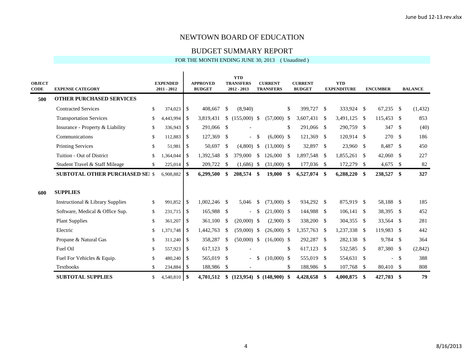#### BUDGET SUMMARY REPORT

| <b>OBJECT</b><br><b>CODE</b> | <b>EXPENSE CATEGORY</b>                | <b>EXPENDED</b><br>$2011 - 2012$ |      | <b>APPROVED</b><br><b>BUDGET</b> |               | <b>YTD</b><br><b>TRANSFERS</b><br>$2012 - 2013$ |                    | <b>CURRENT</b><br><b>TRANSFERS</b> |    | <b>CURRENT</b><br><b>BUDGET</b> |               | <b>YTD</b><br><b>EXPENDITURE</b> |      | <b>ENCUMBER</b> |      | <b>BALANCE</b> |
|------------------------------|----------------------------------------|----------------------------------|------|----------------------------------|---------------|-------------------------------------------------|--------------------|------------------------------------|----|---------------------------------|---------------|----------------------------------|------|-----------------|------|----------------|
| 500                          | <b>OTHER PURCHASED SERVICES</b>        |                                  |      |                                  |               |                                                 |                    |                                    |    |                                 |               |                                  |      |                 |      |                |
|                              | <b>Contracted Services</b>             | \$<br>374,023                    | - \$ | 408,667                          | <sup>\$</sup> | (8,940)                                         |                    |                                    | \$ | 399,727                         | \$            | 333,924 \$                       |      | 67,235          | \$   | (1, 432)       |
|                              | <b>Transportation Services</b>         | \$<br>4,443,994                  | -\$  | 3,819,431                        | $\mathbb{S}$  | $(155,000)$ \$                                  |                    | $(57,000)$ \$                      |    | 3,607,431                       | \$            | 3,491,125                        | -S   | 115,453         | -S   | 853            |
|                              | Insurance - Property & Liability       | \$<br>336,943                    | \$   | 291,066 \$                       |               |                                                 |                    |                                    | \$ | 291,066                         | \$            | 290,759 \$                       |      | 347             | -S   | (40)           |
|                              | Communications                         | \$<br>112,883                    | -\$  | 127,369 \$                       |               | $\equiv$                                        | $\mathbf{\hat{S}}$ | $(6,000)$ \$                       |    | 121,369                         | \$            | $120,914$ \$                     |      | 270             | -S   | 186            |
|                              | <b>Printing Services</b>               | \$<br>51,981                     | -\$  | 50,697                           | \$            | $(4,800)$ \$                                    |                    | $(13,000)$ \$                      |    | 32,897                          | \$            | 23,960 \$                        |      | 8,487           | -\$  | 450            |
|                              | Tuition - Out of District              | \$<br>1,364,044                  | -\$  | 1,392,548                        | <sup>\$</sup> | 379,000                                         | <sup>\$</sup>      | 126,000                            | S. | 1.897.548                       | -S            | 1,855,261                        | - \$ | 42,060          | -S   | 227            |
|                              | Student Travel & Staff Mileage         | \$<br>225,014                    | -\$  | 209,722 \$                       |               | $(1,686)$ \$                                    |                    | $(31,000)$ \$                      |    | 177,036                         | \$            | 172,279 \$                       |      | 4,675           | -S   | 82             |
|                              | <b>SUBTOTAL OTHER PURCHASED SEI \$</b> | 6,908,882                        | -\$  | 6,299,500                        | \$            | 208,574 \$                                      |                    | 19,000                             | \$ | 6,527,074                       | \$            | $6,288,220$ \$                   |      | 238,527         | \$   | 327            |
| 600                          | <b>SUPPLIES</b>                        |                                  |      |                                  |               |                                                 |                    |                                    |    |                                 |               |                                  |      |                 |      |                |
|                              | Instructional & Library Supplies       | \$<br>991,852                    | -\$  | $1,002,246$ \$                   |               | 5,046                                           | -S                 | $(73,000)$ \$                      |    | 934,292                         | <sup>\$</sup> | 875,919 \$                       |      | 58,188 \$       |      | 185            |
|                              | Software, Medical & Office Sup.        | \$<br>231,715                    | - \$ | 165,988 \$                       |               | $\overline{\phantom{a}}$                        | <sup>\$</sup>      | $(21,000)$ \$                      |    | 144,988                         | \$            | $106,141$ \$                     |      | 38,395          | -S   | 452            |
|                              | <b>Plant Supplies</b>                  | \$<br>361,207                    | -\$  | 361,100                          | \$            | $(20,000)$ \$                                   |                    | $(2,900)$ \$                       |    | 338,200                         | \$            | 304,355 \$                       |      | 33,564          | - \$ | 281            |
|                              | Electric                               | \$<br>1,371,748                  | -\$  | 1,442,763                        | -\$           | $(59,000)$ \$                                   |                    | $(26,000)$ \$                      |    | 1,357,763                       | \$            | 1,237,338 \$                     |      | 119,983         | -S   | 442            |
|                              | Propane & Natural Gas                  | \$<br>311,240                    | -\$  | 358,287                          | <sup>\$</sup> | $(50,000)$ \$                                   |                    | $(16,000)$ \$                      |    | 292,287                         | \$            | 282,138 \$                       |      | 9,784           | -\$  | 364            |
|                              | Fuel Oil                               | \$<br>557,923                    | -\$  | 617,123 \$                       |               |                                                 |                    |                                    | \$ | 617,123                         | \$            | 532,585 \$                       |      | 87,380          | -\$  | (2, 842)       |
|                              | Fuel For Vehicles & Equip.             | \$<br>480,240                    | -\$  | 565,019 \$                       |               |                                                 | \$.                | $(10,000)$ \$                      |    | 555,019                         | \$            | 554,631 \$                       |      |                 | \$   | 388            |
|                              | <b>Textbooks</b>                       | \$<br>234,884                    | - \$ | 188,986 \$                       |               |                                                 |                    |                                    | \$ | 188,986 \$                      |               | $107,768$ \$                     |      | 80,410          | - \$ | 808            |
|                              | <b>SUBTOTAL SUPPLIES</b>               | \$<br>4,540,810                  | \$   | 4,701,512                        |               | $$$ (123,954) $$$ (148,900) $$$                 |                    |                                    |    | 4,428,658                       | SS.           | 4,000,875                        | - \$ | 427,703         | \$   | 79             |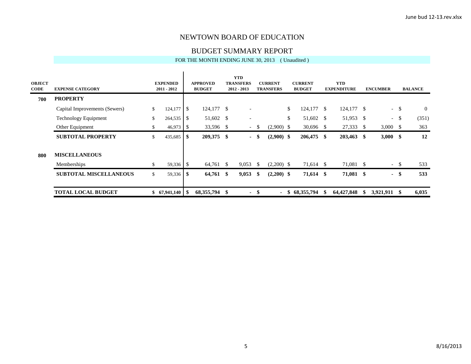#### BUDGET SUMMARY REPORT

| <b>OBJECT</b><br><b>CODE</b> | <b>EXPENSE CATEGORY</b>       | <b>EXPENDED</b><br>$2011 - 2012$ |     | <b>APPROVED</b><br><b>BUDGET</b> |      | <b>YTD</b><br><b>TRANSFERS</b><br>2012 - 2013 |              | <b>CURRENT</b><br><b>TRANSFERS</b> |    | <b>CURRENT</b><br><b>BUDGET</b> | <b>YTD</b><br><b>EXPENDITURE</b> | <b>ENCUMBER</b> |        | <b>BALANCE</b> |
|------------------------------|-------------------------------|----------------------------------|-----|----------------------------------|------|-----------------------------------------------|--------------|------------------------------------|----|---------------------------------|----------------------------------|-----------------|--------|----------------|
| 700                          | <b>PROPERTY</b>               |                                  |     |                                  |      |                                               |              |                                    |    |                                 |                                  |                 |        |                |
|                              | Capital Improvements (Sewers) | \$<br>124,177                    | \$  | 124,177 \$                       |      |                                               |              |                                    | \$ | $124,177$ \$                    | $124,177$ \$                     |                 | $-$ \$ | $\overline{0}$ |
|                              | <b>Technology Equipment</b>   | \$<br>264,535                    | -S  | 51,602 \$                        |      |                                               |              |                                    | \$ | 51,602 \$                       | 51,953 \$                        |                 | $-$ \$ | (351)          |
|                              | Other Equipment               | \$<br>46,973                     | -\$ | 33,596 \$                        |      | $\overline{\phantom{a}}$                      | \$           | $(2,900)$ \$                       |    | $30,696$ \$                     | 27,333 \$                        | $3,000$ \$      |        | 363            |
|                              | <b>SUBTOTAL PROPERTY</b>      | \$<br>435,685                    | -\$ | 209,375 \$                       |      | $\sim$                                        | \$           | $(2,900)$ \$                       |    | 206,475 \$                      | $203,463$ \$                     | $3,000$ \$      |        | 12             |
| 800                          | <b>MISCELLANEOUS</b>          |                                  |     |                                  |      |                                               |              |                                    |    |                                 |                                  |                 |        |                |
|                              | Memberships                   | \$                               |     | 64,761 \$                        |      | 9,053                                         | <sup>S</sup> | $(2,200)$ \$                       |    | 71,614 \$                       | 71,081 \$                        | $\sim$          | - \$   | 533            |
|                              | <b>SUBTOTAL MISCELLANEOUS</b> | \$<br>$59,336$ \$                |     | 64,761 \$                        |      | 9,053                                         | - \$         | $(2,200)$ \$                       |    | 71,614 \$                       | 71,081 \$                        |                 | $-$ \$ | 533            |
|                              | <b>TOTAL LOCAL BUDGET</b>     | \$67,941,140                     | -S  | 68,355,794                       | - \$ | $\sim$                                        | - \$         | $\sim$ 10 $\pm$                    | -S | 68,355,794                      | 64,427,848                       | \$<br>3,921,911 | -8     | 6,035          |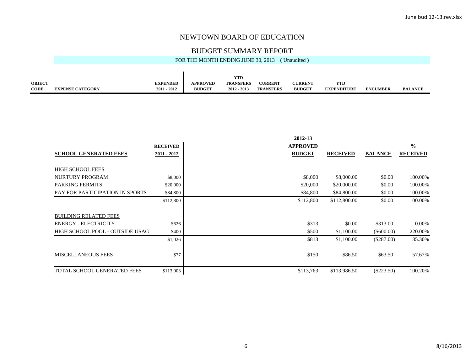# BUDGET SUMMARY REPORT FOR THE MONTH ENDING JUNE 30, 2013 (Unaudited)

|                    |                         |                     |               | VTD                |                  |                |                    |                 |                |
|--------------------|-------------------------|---------------------|---------------|--------------------|------------------|----------------|--------------------|-----------------|----------------|
| <b>OBJECT</b><br>. |                         | <b>EXPENDED</b>     | APPROVED      | <b>TRANSFERS</b>   | <b>CURRENT</b>   | <b>CURRENT</b> | YTD                |                 |                |
| <b>CODE</b>        | <b>EXPENSE CATEGORY</b> | $-2012$<br>$2011 -$ | <b>BUDGET</b> | - 2013<br>$2012 -$ | <b>TRANSFERS</b> | <b>BUDGET</b>  | <b>EXPENDITURE</b> | <b>ENCUMBER</b> | <b>BALANCE</b> |

|                                    |                 | 2012-13         |                 |                |                 |
|------------------------------------|-----------------|-----------------|-----------------|----------------|-----------------|
|                                    | <b>RECEIVED</b> | <b>APPROVED</b> |                 |                | $\frac{0}{0}$   |
| <b>SCHOOL GENERATED FEES</b>       | $2011 - 2012$   | <b>BUDGET</b>   | <b>RECEIVED</b> | <b>BALANCE</b> | <b>RECEIVED</b> |
|                                    |                 |                 |                 |                |                 |
| <b>HIGH SCHOOL FEES</b>            |                 |                 |                 |                |                 |
| NURTURY PROGRAM                    | \$8,000         | \$8,000         | \$8,000.00      | \$0.00         | 100.00%         |
| <b>PARKING PERMITS</b>             | \$20,000        | \$20,000        | \$20,000.00     | \$0.00         | 100.00%         |
| PAY FOR PARTICIPATION IN SPORTS    | \$84,800        | \$84,800        | \$84,800.00     | \$0.00         | 100.00%         |
|                                    | \$112,800       | \$112,800       | \$112,800.00    | \$0.00         | 100.00%         |
|                                    |                 |                 |                 |                |                 |
| <b>BUILDING RELATED FEES</b>       |                 |                 |                 |                |                 |
| <b>ENERGY - ELECTRICITY</b>        | \$626           | \$313           | \$0.00          | \$313.00       | $0.00\%$        |
| HIGH SCHOOL POOL - OUTSIDE USAGI   | \$400           | \$500           | \$1,100.00      | $(\$600.00)$   | 220.00%         |
|                                    | \$1,026         | \$813           | \$1,100.00      | (\$287.00)     | 135.30%         |
|                                    |                 |                 |                 |                |                 |
| <b>MISCELLANEOUS FEES</b>          | \$77            | \$150           | \$86.50         | \$63.50        | 57.67%          |
|                                    |                 |                 |                 |                |                 |
| <b>TOTAL SCHOOL GENERATED FEES</b> | \$113,903       | \$113,763       | \$113,986.50    | $(\$223.50)$   | 100.20%         |